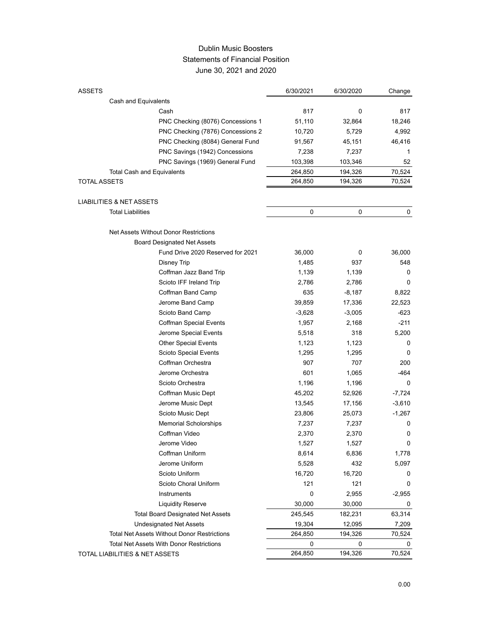## Dublin Music Boosters Statements of Financial Position June 30, 2021 and 2020

| <b>ASSETS</b>                                        | 6/30/2021 | 6/30/2020 | Change       |
|------------------------------------------------------|-----------|-----------|--------------|
| Cash and Equivalents                                 |           |           |              |
| Cash                                                 | 817       | 0         | 817          |
| PNC Checking (8076) Concessions 1                    | 51,110    | 32,864    | 18,246       |
| PNC Checking (7876) Concessions 2                    | 10,720    | 5,729     | 4,992        |
| PNC Checking (8084) General Fund                     | 91,567    | 45,151    | 46,416       |
| PNC Savings (1942) Concessions                       | 7,238     | 7,237     | 1            |
| PNC Savings (1969) General Fund                      | 103,398   | 103,346   | 52           |
| <b>Total Cash and Equivalents</b>                    | 264,850   | 194,326   | 70,524       |
| <b>TOTAL ASSETS</b>                                  | 264,850   | 194,326   | 70,524       |
|                                                      |           |           |              |
| LIABILITIES & NET ASSETS<br><b>Total Liabilities</b> |           | 0         | 0            |
|                                                      | 0         |           |              |
| Net Assets Without Donor Restrictions                |           |           |              |
| <b>Board Designated Net Assets</b>                   |           |           |              |
| Fund Drive 2020 Reserved for 2021                    | 36,000    | 0         | 36,000       |
| Disney Trip                                          | 1,485     | 937       | 548          |
| Coffman Jazz Band Trip                               | 1,139     | 1,139     | 0            |
| Scioto IFF Ireland Trip                              | 2,786     | 2,786     | 0            |
| Coffman Band Camp                                    | 635       | $-8,187$  | 8,822        |
| Jerome Band Camp                                     | 39,859    | 17,336    | 22,523       |
| Scioto Band Camp                                     | $-3,628$  | $-3,005$  | -623         |
| <b>Coffman Special Events</b>                        | 1,957     | 2,168     | $-211$       |
| Jerome Special Events                                | 5,518     | 318       | 5,200        |
| <b>Other Special Events</b>                          | 1,123     | 1,123     | 0            |
| Scioto Special Events                                | 1,295     | 1,295     | 0            |
| Coffman Orchestra                                    | 907       | 707       | 200          |
| Jerome Orchestra                                     | 601       | 1,065     | -464         |
| Scioto Orchestra                                     | 1,196     | 1,196     | 0            |
| Coffman Music Dept                                   | 45,202    | 52,926    | $-7,724$     |
| Jerome Music Dept                                    | 13,545    | 17,156    | $-3,610$     |
| Scioto Music Dept                                    | 23,806    | 25,073    | $-1,267$     |
| Memorial Scholorships                                | 7,237     | 7,237     | 0            |
| Coffman Video                                        | 2,370     | 2,370     | 0            |
| Jerome Video                                         | 1,527     | 1,527     | <sup>n</sup> |
| Coffman Uniform                                      | 8,614     | 6,836     | 1,778        |
| Jerome Uniform                                       | 5,528     | 432       | 5,097        |
| Scioto Uniform                                       | 16,720    | 16,720    | 0            |
| Scioto Choral Uniform                                | 121       | 121       | 0            |
| Instruments                                          | 0         | 2,955     | $-2,955$     |
| <b>Liquidity Reserve</b>                             | 30,000    | 30,000    | 0            |
| <b>Total Board Designated Net Assets</b>             | 245,545   | 182,231   | 63,314       |
| Undesignated Net Assets                              | 19,304    | 12,095    | 7,209        |
| <b>Total Net Assets Without Donor Restrictions</b>   | 264,850   | 194,326   | 70,524       |
| <b>Total Net Assets With Donor Restrictions</b>      | 0         | 0         | 0            |
| TOTAL LIABILITIES & NET ASSETS                       | 264,850   | 194,326   | 70,524       |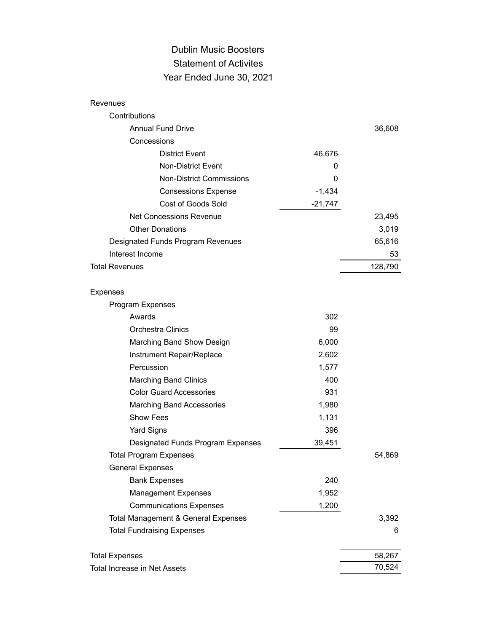## Dublin Music Boosters Statement of Activites Year Ended June 30, 2021

| Revenues                                       |           |         |
|------------------------------------------------|-----------|---------|
| Contributions                                  |           |         |
| <b>Annual Fund Drive</b>                       |           | 36,608  |
| Concessions                                    |           |         |
| <b>District Event</b>                          | 46,676    |         |
| Non-District Event                             | 0         |         |
| <b>Non-District Commissions</b>                | 0         |         |
| <b>Consessions Expense</b>                     | $-1,434$  |         |
| Cost of Goods Sold                             | $-21,747$ |         |
| <b>Net Concessions Revenue</b>                 |           | 23,495  |
| <b>Other Donations</b>                         |           | 3,019   |
| Designated Funds Program Revenues              |           | 65,616  |
| Interest Income                                |           | 53      |
| <b>Total Revenues</b>                          |           | 128,790 |
| Expenses                                       |           |         |
| Program Expenses                               |           |         |
| Awards                                         | 302       |         |
| Orchestra Clinics                              | 99        |         |
| Marching Band Show Design                      | 6,000     |         |
| Instrument Repair/Replace                      | 2,602     |         |
| Percussion                                     | 1,577     |         |
| <b>Marching Band Clinics</b>                   | 400       |         |
| <b>Color Guard Accessories</b>                 | 931       |         |
| <b>Marching Band Accessories</b>               | 1,980     |         |
| <b>Show Fees</b>                               | 1,131     |         |
| <b>Yard Signs</b>                              | 396       |         |
| Designated Funds Program Expenses              | 39,451    |         |
| <b>Total Program Expenses</b>                  |           | 54,869  |
| <b>General Expenses</b>                        |           |         |
| <b>Bank Expenses</b>                           | 240       |         |
| Management Expenses                            | 1,952     |         |
| <b>Communications Expenses</b>                 | 1,200     |         |
| <b>Total Management &amp; General Expenses</b> |           | 3,392   |
| <b>Total Fundraising Expenses</b>              |           | 6       |
| <b>Total Expenses</b>                          |           | 58,267  |
| Total Increase in Net Assets                   |           | 70,524  |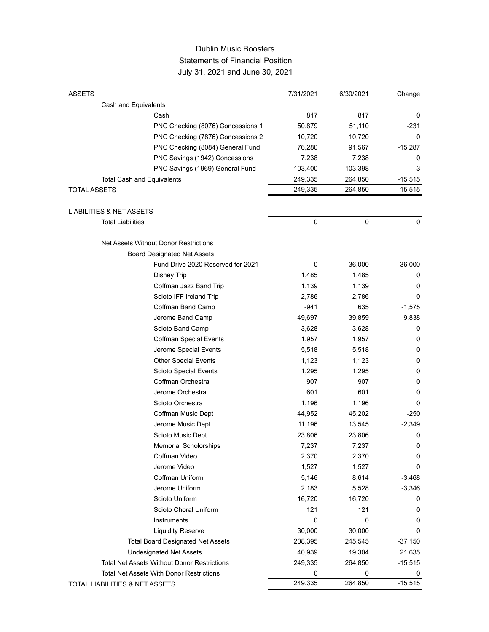## Dublin Music Boosters Statements of Financial Position July 31, 2021 and June 30, 2021

| <b>ASSETS</b>                                      | 7/31/2021 | 6/30/2021 | Change       |
|----------------------------------------------------|-----------|-----------|--------------|
| Cash and Equivalents                               |           |           |              |
| Cash                                               | 817       | 817       | 0            |
| PNC Checking (8076) Concessions 1                  | 50,879    | 51,110    | -231         |
| PNC Checking (7876) Concessions 2                  | 10,720    | 10,720    | 0            |
| PNC Checking (8084) General Fund                   | 76,280    | 91,567    | $-15,287$    |
| PNC Savings (1942) Concessions                     | 7,238     | 7,238     | 0            |
| PNC Savings (1969) General Fund                    | 103,400   | 103,398   | 3            |
| <b>Total Cash and Equivalents</b>                  | 249,335   | 264,850   | $-15,515$    |
| <b>TOTAL ASSETS</b>                                | 249,335   | 264,850   | $-15,515$    |
|                                                    |           |           |              |
| LIABILITIES & NET ASSETS                           |           |           |              |
| <b>Total Liabilities</b>                           | 0         | 0         | 0            |
| Net Assets Without Donor Restrictions              |           |           |              |
| <b>Board Designated Net Assets</b>                 |           |           |              |
| Fund Drive 2020 Reserved for 2021                  | 0         | 36,000    | $-36,000$    |
| Disney Trip                                        | 1,485     | 1,485     | 0            |
| Coffman Jazz Band Trip                             | 1,139     | 1,139     | 0            |
| Scioto IFF Ireland Trip                            | 2,786     | 2,786     | 0            |
| Coffman Band Camp                                  | $-941$    | 635       | $-1,575$     |
| Jerome Band Camp                                   | 49,697    | 39,859    | 9,838        |
| Scioto Band Camp                                   | $-3,628$  | $-3,628$  | 0            |
| <b>Coffman Special Events</b>                      | 1,957     | 1,957     | 0            |
| Jerome Special Events                              | 5,518     | 5,518     | 0            |
| <b>Other Special Events</b>                        | 1,123     | 1,123     | 0            |
| Scioto Special Events                              | 1,295     | 1,295     | 0            |
| Coffman Orchestra                                  | 907       | 907       | 0            |
| Jerome Orchestra                                   | 601       | 601       | 0            |
| Scioto Orchestra                                   | 1,196     | 1,196     | 0            |
| Coffman Music Dept                                 | 44,952    | 45,202    | $-250$       |
| Jerome Music Dept                                  | 11,196    | 13,545    | $-2,349$     |
| Scioto Music Dept                                  | 23,806    | 23,806    | 0            |
| <b>Memorial Scholorships</b>                       | 7,237     | 7,237     | <sup>0</sup> |
| Coffman Video                                      | 2,370     | 2,370     | 0            |
| Jerome Video                                       | 1,527     | 1,527     | 0            |
| Coffman Uniform                                    | 5,146     | 8,614     | $-3,468$     |
| Jerome Uniform                                     | 2,183     | 5,528     | $-3,346$     |
| Scioto Uniform                                     | 16,720    | 16,720    | 0            |
| Scioto Choral Uniform                              | 121       | 121       | 0            |
| Instruments                                        | 0         | 0         | 0            |
| <b>Liquidity Reserve</b>                           | 30,000    | 30,000    | 0            |
| <b>Total Board Designated Net Assets</b>           | 208,395   | 245,545   | $-37,150$    |
| <b>Undesignated Net Assets</b>                     | 40,939    | 19,304    | 21,635       |
| <b>Total Net Assets Without Donor Restrictions</b> | 249,335   | 264,850   | $-15,515$    |
| <b>Total Net Assets With Donor Restrictions</b>    | 0         | 0         | 0            |
| TOTAL LIABILITIES & NET ASSETS                     | 249,335   | 264,850   | $-15,515$    |
|                                                    |           |           |              |